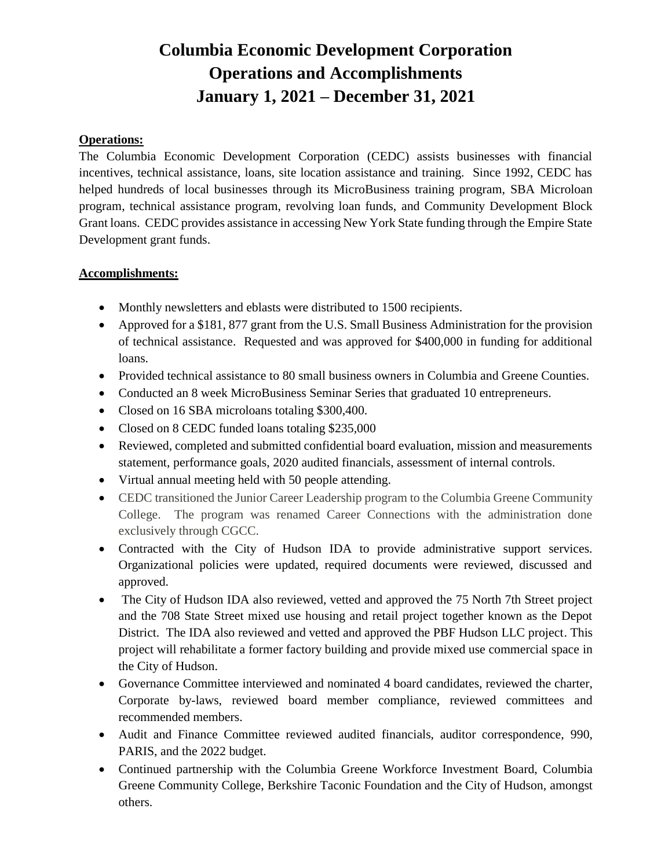## **Columbia Economic Development Corporation Operations and Accomplishments January 1, 2021 – December 31, 2021**

## **Operations:**

The Columbia Economic Development Corporation (CEDC) assists businesses with financial incentives, technical assistance, loans, site location assistance and training. Since 1992, CEDC has helped hundreds of local businesses through its MicroBusiness training program, SBA Microloan program, technical assistance program, revolving loan funds, and Community Development Block Grant loans. CEDC provides assistance in accessing New York State funding through the Empire State Development grant funds.

## **Accomplishments:**

- Monthly newsletters and eblasts were distributed to 1500 recipients.
- Approved for a \$181, 877 grant from the U.S. Small Business Administration for the provision of technical assistance. Requested and was approved for \$400,000 in funding for additional loans.
- Provided technical assistance to 80 small business owners in Columbia and Greene Counties.
- Conducted an 8 week MicroBusiness Seminar Series that graduated 10 entrepreneurs.
- Closed on 16 SBA microloans totaling \$300,400.
- Closed on 8 CEDC funded loans totaling \$235,000
- Reviewed, completed and submitted confidential board evaluation, mission and measurements statement, performance goals, 2020 audited financials, assessment of internal controls.
- Virtual annual meeting held with 50 people attending.
- CEDC transitioned the Junior Career Leadership program to the Columbia Greene Community College. The program was renamed Career Connections with the administration done exclusively through CGCC.
- Contracted with the City of Hudson IDA to provide administrative support services. Organizational policies were updated, required documents were reviewed, discussed and approved.
- The City of Hudson IDA also reviewed, vetted and approved the 75 North 7th Street project and the 708 State Street mixed use housing and retail project together known as the Depot District. The IDA also reviewed and vetted and approved the PBF Hudson LLC project. This project will rehabilitate a former factory building and provide mixed use commercial space in the City of Hudson.
- Governance Committee interviewed and nominated 4 board candidates, reviewed the charter, Corporate by-laws, reviewed board member compliance, reviewed committees and recommended members.
- Audit and Finance Committee reviewed audited financials, auditor correspondence, 990, PARIS, and the 2022 budget.
- Continued partnership with the Columbia Greene Workforce Investment Board, Columbia Greene Community College, Berkshire Taconic Foundation and the City of Hudson, amongst others.